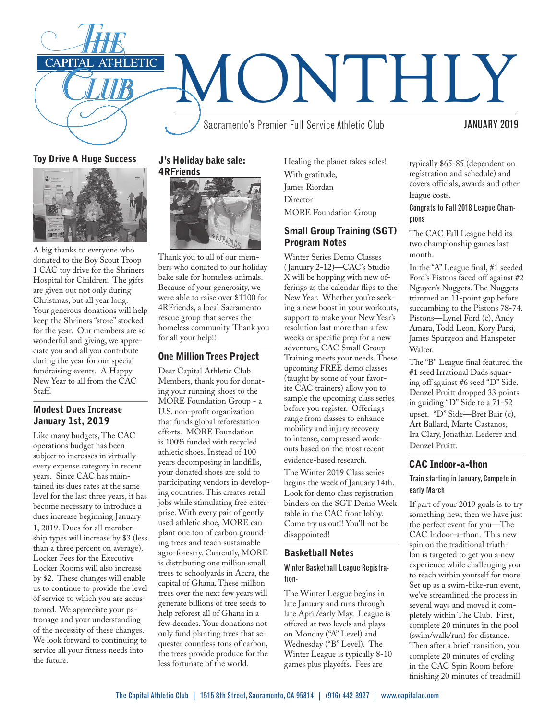

Toy Drive A Huge Success



A big thanks to everyone who donated to the Boy Scout Troop 1 CAC toy drive for the Shriners Hospital for Children. The gifts are given out not only during Christmas, but all year long. Your generous donations will help keep the Shriners "store" stocked for the year. Our members are so wonderful and giving, we appreciate you and all you contribute during the year for our special fundraising events. A Happy New Year to all from the CAC Staff.

#### Modest Dues Increase January 1st, 2019

Like many budgets, The CAC operations budget has been subject to increases in virtually every expense category in recent years. Since CAC has maintained its dues rates at the same level for the last three years, it has become necessary to introduce a dues increase beginning January 1, 2019. Dues for all membership types will increase by \$3 (less than a three percent on average). Locker Fees for the Executive Locker Rooms will also increase by \$2. These changes will enable us to continue to provide the level of service to which you are accustomed. We appreciate your patronage and your understanding of the necessity of these changes. We look forward to continuing to service all your fitness needs into the future.

#### J's Holiday bake sale: 4RFriends



Thank you to all of our members who donated to our holiday bake sale for homeless animals. Because of your generosity, we were able to raise over \$1100 for 4RFriends, a local Sacramento rescue group that serves the homeless community. Thank you for all your help!!

#### One Million Trees Project

Dear Capital Athletic Club Members, thank you for donating your running shoes to the MORE Foundation Group - a U.S. non-profit organization that funds global reforestation efforts. MORE Foundation is 100% funded with recycled athletic shoes. Instead of 100 years decomposing in landfills, your donated shoes are sold to participating vendors in developing countries. This creates retail jobs while stimulating free enterprise. With every pair of gently used athletic shoe, MORE can plant one ton of carbon grounding trees and teach sustainable agro-forestry. Currently, MORE is distributing one million small trees to schoolyards in Accra, the capital of Ghana. These million trees over the next few years will generate billions of tree seeds to help reforest all of Ghana in a few decades. Your donations not only fund planting trees that sequester countless tons of carbon, the trees provide produce for the less fortunate of the world.

Healing the planet takes soles! With gratitude, James Riordan Director MORE Foundation Group

# Small Group Training (SGT) Program Notes

Winter Series Demo Classes ( January 2-12)—CAC's Studio X will be hopping with new offerings as the calendar flips to the New Year. Whether you're seeking a new boost in your workouts, support to make your New Year's resolution last more than a few weeks or specific prep for a new adventure, CAC Small Group Training meets your needs. These upcoming FREE demo classes (taught by some of your favorite CAC trainers) allow you to sample the upcoming class series before you register. Offerings range from classes to enhance mobility and injury recovery to intense, compressed workouts based on the most recent evidence-based research.

The Winter 2019 Class series begins the week of January 14th. Look for demo class registration binders on the SGT Demo Week table in the CAC front lobby. Come try us out!! You'll not be disappointed!

## Basketball Notes

#### Winter Basketball League Registration-

The Winter League begins in late January and runs through late April/early May. League is offered at two levels and plays on Monday ("A" Level) and Wednesday ("B" Level). The Winter League is typically 8-10 games plus playoffs. Fees are

typically \$65-85 (dependent on registration and schedule) and covers officials, awards and other league costs.

#### Congrats to Fall 2018 League Champions

The CAC Fall League held its two championship games last month.

In the "A" League final, #1 seeded Ford's Pistons faced off against #2 Nguyen's Nuggets. The Nuggets trimmed an 11-point gap before succumbing to the Pistons 78-74. Pistons—Lynel Ford (c), Andy Amara, Todd Leon, Kory Parsi, James Spurgeon and Hanspeter Walter.

The "B" League final featured the #1 seed Irrational Dads squaring off against #6 seed "D" Side. Denzel Pruitt dropped 33 points in guiding "D" Side to a 71-52 upset. "D" Side—Bret Bair (c), Art Ballard, Marte Castanos, Ira Clary, Jonathan Lederer and Denzel Pruitt.

#### CAC Indoor-a-thon

#### Train starting in January, Compete in early March

If part of your 2019 goals is to try something new, then we have just the perfect event for you—The CAC Indoor-a-thon. This new spin on the traditional triathlon is targeted to get you a new experience while challenging you to reach within yourself for more. Set up as a swim-bike-run event, we've streamlined the process in several ways and moved it completely within The Club. First, complete 20 minutes in the pool (swim/walk/run) for distance. Then after a brief transition, you complete 20 minutes of cycling in the CAC Spin Room before finishing 20 minutes of treadmill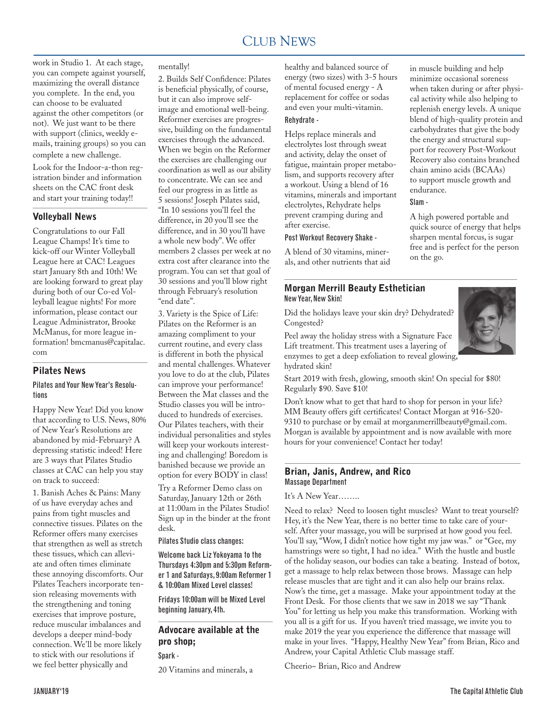work in Studio 1. At each stage, you can compete against yourself, maximizing the overall distance you complete. In the end, you can choose to be evaluated against the other competitors (or not). We just want to be there with support (clinics, weekly emails, training groups) so you can complete a new challenge.

Look for the Indoor-a-thon registration binder and information sheets on the CAC front desk and start your training today!!

#### Volleyball News

Congratulations to our Fall League Champs! It's time to kick-off our Winter Volleyball League here at CAC! Leagues start January 8th and 10th! We are looking forward to great play during both of our Co-ed Volleyball league nights! For more information, please contact our League Administrator, Brooke McManus, for more league information! bmcmanus@capitalac. com

#### Pilates News

#### Pilates and Your New Year's Resolutions

Happy New Year! Did you know that according to U.S. News, 80% of New Year's Resolutions are abandoned by mid-February? A depressing statistic indeed! Here are 3 ways that Pilates Studio classes at CAC can help you stay on track to succeed:

1. Banish Aches & Pains: Many of us have everyday aches and pains from tight muscles and connective tissues. Pilates on the Reformer offers many exercises that strengthen as well as stretch these tissues, which can alleviate and often times eliminate these annoying discomforts. Our Pilates Teachers incorporate tension releasing movements with the strengthening and toning exercises that improve posture, reduce muscular imbalances and develops a deeper mind-body connection. We'll be more likely to stick with our resolutions if we feel better physically and

#### mentally!

2. Builds Self Confidence: Pilates is beneficial physically, of course, but it can also improve selfimage and emotional well-being. Reformer exercises are progressive, building on the fundamental exercises through the advanced. When we begin on the Reformer the exercises are challenging our coordination as well as our ability to concentrate. We can see and feel our progress in as little as 5 sessions! Joseph Pilates said, "In 10 sessions you'll feel the difference, in 20 you'll see the difference, and in 30 you'll have a whole new body". We offer members 2 classes per week at no extra cost after clearance into the program. You can set that goal of 30 sessions and you'll blow right through February's resolution "end date".

3. Variety is the Spice of Life: Pilates on the Reformer is an amazing compliment to your current routine, and every class is different in both the physical and mental challenges. Whatever you love to do at the club, Pilates can improve your performance! Between the Mat classes and the Studio classes you will be introduced to hundreds of exercises. Our Pilates teachers, with their individual personalities and styles will keep your workouts interesting and challenging! Boredom is banished because we provide an option for every BODY in class!

Try a Reformer Demo class on Saturday, January 12th or 26th at 11:00am in the Pilates Studio! Sign up in the binder at the front desk.

Pilates Studio class changes:

Welcome back Liz Yokoyama to the Thursdays 4:30pm and 5:30pm Reformer 1 and Saturdays, 9:00am Reformer 1 & 10:00am Mixed Level classes!

Fridays 10:00am will be Mixed Level beginning January, 4th.

# Advocare available at the pro shop;

Spark -

20 Vitamins and minerals, a

healthy and balanced source of energy (two sizes) with 3-5 hours of mental focused energy - A replacement for coffee or sodas and even your multi-vitamin. Rehydrate -

Helps replace minerals and electrolytes lost through sweat and activity, delay the onset of fatigue, maintain proper metabolism, and supports recovery after a workout. Using a blend of 16 vitamins, minerals and important electrolytes, Rehydrate helps prevent cramping during and after exercise.

#### Post Workout Recovery Shake -

A blend of 30 vitamins, minerals, and other nutrients that aid

#### Morgan Merrill Beauty Esthetician New Year, New Skin!

Did the holidays leave your skin dry? Dehydrated? Congested?

Peel away the holiday stress with a Signature Face Lift treatment. This treatment uses a layering of enzymes to get a deep exfoliation to reveal glowing, hydrated skin!

Start 2019 with fresh, glowing, smooth skin! On special for \$80! Regularly \$90. Save \$10!

Don't know what to get that hard to shop for person in your life? MM Beauty offers gift certificates! Contact Morgan at 916-520- 9310 to purchase or by email at morganmerrillbeauty@gmail.com. Morgan is available by appointment and is now available with more hours for your convenience! Contact her today!

#### Brian, Janis, Andrew, and Rico Massage Department

#### It's A New Year……..

Need to relax? Need to loosen tight muscles? Want to treat yourself? Hey, it's the New Year, there is no better time to take care of yourself. After your massage, you will be surprised at how good you feel. You'll say, "Wow, I didn't notice how tight my jaw was." or "Gee, my hamstrings were so tight, I had no idea." With the hustle and bustle of the holiday season, our bodies can take a beating. Instead of botox, get a massage to help relax between those brows. Massage can help release muscles that are tight and it can also help our brains relax. Now's the time, get a massage. Make your appointment today at the Front Desk. For those clients that we saw in 2018 we say "Thank You" for letting us help you make this transformation. Working with you all is a gift for us. If you haven't tried massage, we invite you to make 2019 the year you experience the difference that massage will make in your lives. "Happy, Healthy New Year" from Brian, Rico and Andrew, your Capital Athletic Club massage staff.

Cheerio~ Brian, Rico and Andrew

in muscle building and help minimize occasional soreness when taken during or after physical activity while also helping to replenish energy levels. A unique blend of high-quality protein and carbohydrates that give the body the energy and structural support for recovery Post-Workout Recovery also contains branched chain amino acids (BCAAs) to support muscle growth and

A high powered portable and quick source of energy that helps sharpen mental forcus, is sugar free and is perfect for the person

endurance. Slam -

on the go.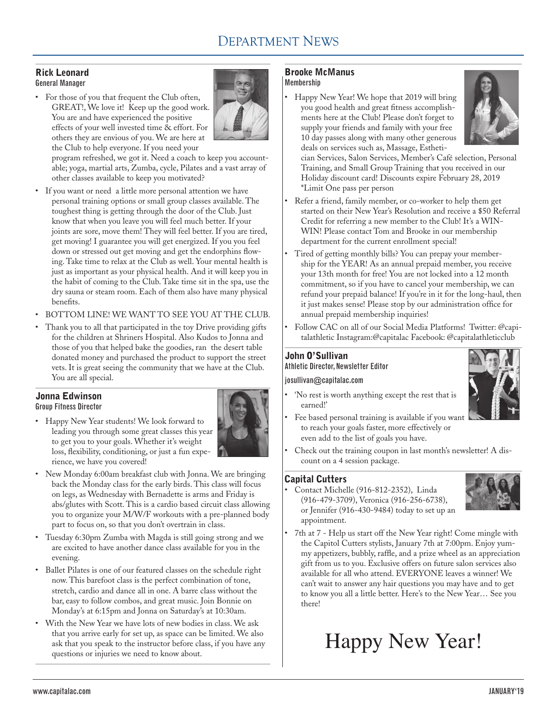# DEPARTMENT NEWS

#### Rick Leonard General Manager

• For those of you that frequent the Club often, GREAT!, We love it! Keep up the good work. You are and have experienced the positive effects of your well invested time & effort. For others they are envious of you. We are here at the Club to help everyone. If you need your



program refreshed, we got it. Need a coach to keep you accountable; yoga, martial arts, Zumba, cycle, Pilates and a vast array of other classes available to keep you motivated?

- If you want or need a little more personal attention we have personal training options or small group classes available. The toughest thing is getting through the door of the Club. Just know that when you leave you will feel much better. If your joints are sore, move them! They will feel better. If you are tired, get moving! I guarantee you will get energized. If you you feel down or stressed out get moving and get the endorphins flowing. Take time to relax at the Club as well. Your mental health is just as important as your physical health. And it will keep you in the habit of coming to the Club. Take time sit in the spa, use the dry sauna or steam room. Each of them also have many physical benefits.
- BOTTOM LINE! WE WANT TO SEE YOU AT THE CLUB.
- Thank you to all that participated in the toy Drive providing gifts for the children at Shriners Hospital. Also Kudos to Jonna and those of you that helped bake the goodies, ran the desert table donated money and purchased the product to support the street vets. It is great seeing the community that we have at the Club. You are all special.

#### Jonna Edwinson Group Fitness Director

• Happy New Year students! We look forward to leading you through some great classes this year to get you to your goals. Whether it's weight loss, flexibility, conditioning, or just a fun experience, we have you covered!



- • New Monday 6:00am breakfast club with Jonna. We are bringing back the Monday class for the early birds. This class will focus on legs, as Wednesday with Bernadette is arms and Friday is abs/glutes with Scott. This is a cardio based circuit class allowing you to organize your M/W/F workouts with a pre-planned body part to focus on, so that you don't overtrain in class.
- • Tuesday 6:30pm Zumba with Magda is still going strong and we are excited to have another dance class available for you in the evening.
- • Ballet Pilates is one of our featured classes on the schedule right now. This barefoot class is the perfect combination of tone, stretch, cardio and dance all in one. A barre class without the bar, easy to follow combos, and great music. Join Bonnie on Monday's at 6:15pm and Jonna on Saturday's at 10:30am.
- • With the New Year we have lots of new bodies in class. We ask that you arrive early for set up, as space can be limited. We also ask that you speak to the instructor before class, if you have any questions or injuries we need to know about.

#### Brooke McManus Membership

Happy New Year! We hope that 2019 will bring you good health and great fitness accomplishments here at the Club! Please don't forget to supply your friends and family with your free 10 day passes along with many other generous deals on services such as, Massage, Estheti-



cian Services, Salon Services, Member's Café selection, Personal Training, and Small Group Training that you received in our Holiday discount card! Discounts expire February 28, 2019 \*Limit One pass per person

- Refer a friend, family member, or co-worker to help them get started on their New Year's Resolution and receive a \$50 Referral Credit for referring a new member to the Club! It's a WIN-WIN! Please contact Tom and Brooke in our membership department for the current enrollment special!
- • Tired of getting monthly bills? You can prepay your membership for the YEAR! As an annual prepaid member, you receive your 13th month for free! You are not locked into a 12 month commitment, so if you have to cancel your membership, we can refund your prepaid balance! If you're in it for the long-haul, then it just makes sense! Please stop by our administration office for annual prepaid membership inquiries!
- Follow CAC on all of our Social Media Platforms! Twitter: @capitalathletic Instagram:@capitalac Facebook: @capitalathleticclub

#### John O'Sullivan Athletic Director, Newsletter Editor

#### josullivan@capitalac.com

• 'No rest is worth anything except the rest that is earned!'



- Fee based personal training is available if you want to reach your goals faster, more effectively or even add to the list of goals you have.
- Check out the training coupon in last month's newsletter! A discount on a 4 session package.

## Capital Cutters

Contact Michelle (916-812-2352), Linda (916-479-3709), Veronica (916-256-6738), or Jennifer (916-430-9484) today to set up an appointment.



• 7th at 7 - Help us start off the New Year right! Come mingle with the Capitol Cutters stylists, January 7th at 7:00pm. Enjoy yummy appetizers, bubbly, raffle, and a prize wheel as an appreciation gift from us to you. Exclusive offers on future salon services also available for all who attend. EVERYONE leaves a winner! We can't wait to answer any hair questions you may have and to get to know you all a little better. Here's to the New Year… See you there!

# Happy New Year!